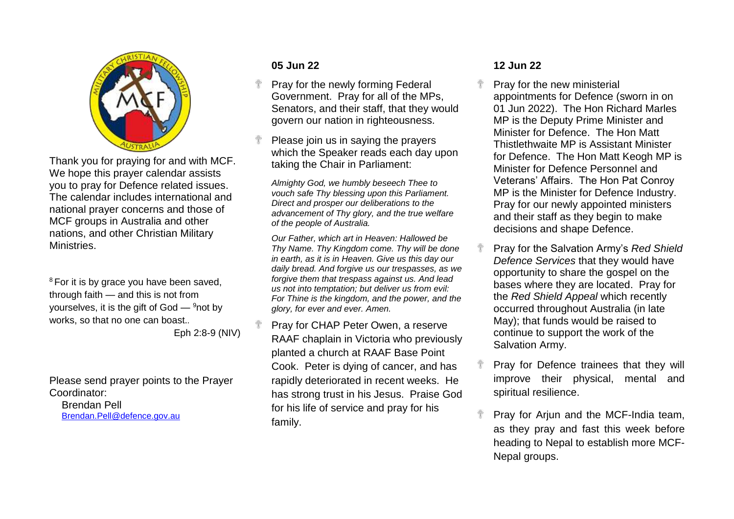

Thank you for praying for and with MCF. We hope this prayer calendar assists you to pray for Defence related issues. The calendar includes international and national prayer concerns and those of MCF groups in Australia and other nations, and other Christian Military Ministries.

<sup>8</sup> For it is by grace you have been saved, through faith — and this is not from yourselves, it is the gift of  $God - <sup>9</sup>$ not by works, so that no one can boast.*.* Eph 2:8-9 (NIV)

Please send prayer points to the Prayer Coordinator:

Brendan Pell [Brendan.Pell@defence.gov.au](mailto:Brendan.Pell@defence.gov.au)

# **05 Jun 22**

÷

- Pray for the newly forming Federal Government. Pray for all of the MPs, Senators, and their staff, that they would govern our nation in righteousness.
- Please join us in saying the prayers which the Speaker reads each day upon taking the Chair in Parliament:

*Almighty God, we humbly beseech Thee to vouch safe Thy blessing upon this Parliament. Direct and prosper our deliberations to the advancement of Thy glory, and the true welfare of the people of Australia.*

*Our Father, which art in Heaven: Hallowed be Thy Name. Thy Kingdom come. Thy will be done in earth, as it is in Heaven. Give us this day our daily bread. And forgive us our trespasses, as we forgive them that trespass against us. And lead us not into temptation; but deliver us from evil: For Thine is the kingdom, and the power, and the glory, for ever and ever. Amen.*

Pray for CHAP Peter Owen, a reserve RAAF chaplain in Victoria who previously planted a church at RAAF Base Point Cook. Peter is dying of cancer, and has rapidly deteriorated in recent weeks. He has strong trust in his Jesus. Praise God for his life of service and pray for his family.

## **12 Jun 22**

- Pray for the new ministerial appointments for Defence (sworn in on 01 Jun 2022). The Hon Richard Marles MP is the Deputy Prime Minister and Minister for Defence. The Hon Matt Thistlethwaite MP is Assistant Minister for Defence. The Hon Matt Keogh MP is Minister for Defence Personnel and Veterans' Affairs. The Hon Pat Conroy MP is the Minister for Defence Industry. Pray for our newly appointed ministers and their staff as they begin to make decisions and shape Defence.
- Pray for the Salvation Army's *Red Shield Defence Services* that they would have opportunity to share the gospel on the bases where they are located. Pray for the *Red Shield Appeal* which recently occurred throughout Australia (in late May); that funds would be raised to continue to support the work of the Salvation Army.
- Pray for Defence trainees that they will improve their physical, mental and spiritual resilience.
- Pray for Arjun and the MCF-India team, as they pray and fast this week before heading to Nepal to establish more MCF-Nepal groups.